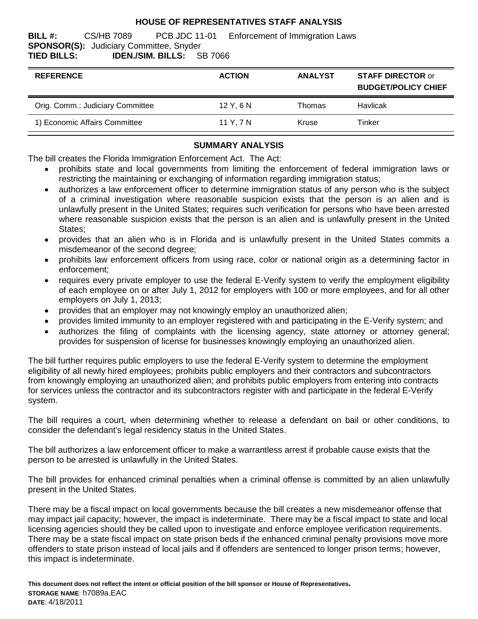## **HOUSE OF REPRESENTATIVES STAFF ANALYSIS**

**BILL #:** CS/HB 7089 PCB JDC 11-01 Enforcement of Immigration Laws **SPONSOR(S):** Judiciary Committee, Snyder **TIED BILLS: IDEN./SIM. BILLS:** SB 7066

| <b>REFERENCE</b>                 | <b>ACTION</b> | <b>ANALYST</b> | <b>STAFF DIRECTOR or</b><br><b>BUDGET/POLICY CHIEF</b> |
|----------------------------------|---------------|----------------|--------------------------------------------------------|
| Orig. Comm.: Judiciary Committee | 12Y.6N        | Thomas         | Havlicak                                               |
| 1) Economic Affairs Committee    | 11 Y. 7 N     | Kruse          | Tinker                                                 |

# **SUMMARY ANALYSIS**

The bill creates the Florida Immigration Enforcement Act. The Act:

- prohibits state and local governments from limiting the enforcement of federal immigration laws or restricting the maintaining or exchanging of information regarding immigration status;
- authorizes a law enforcement officer to determine immigration status of any person who is the subject  $\bullet$ of a criminal investigation where reasonable suspicion exists that the person is an alien and is unlawfully present in the United States; requires such verification for persons who have been arrested where reasonable suspicion exists that the person is an alien and is unlawfully present in the United States;
- provides that an alien who is in Florida and is unlawfully present in the United States commits a misdemeanor of the second degree;
- prohibits law enforcement officers from using race, color or national origin as a determining factor in  $\bullet$ enforcement;
- requires every private employer to use the federal E-Verify system to verify the employment eligibility of each employee on or after July 1, 2012 for employers with 100 or more employees, and for all other employers on July 1, 2013;
- provides that an employer may not knowingly employ an unauthorized alien;  $\bullet$
- provides limited immunity to an employer registered with and participating in the E-Verify system; and
- authorizes the filing of complaints with the licensing agency, state attorney or attorney general;  $\bullet$ provides for suspension of license for businesses knowingly employing an unauthorized alien.

The bill further requires public employers to use the federal E-Verify system to determine the employment eligibility of all newly hired employees; prohibits public employers and their contractors and subcontractors from knowingly employing an unauthorized alien; and prohibits public employers from entering into contracts for services unless the contractor and its subcontractors register with and participate in the federal E-Verify system.

The bill requires a court, when determining whether to release a defendant on bail or other conditions, to consider the defendant's legal residency status in the United States.

The bill authorizes a law enforcement officer to make a warrantless arrest if probable cause exists that the person to be arrested is unlawfully in the United States.

The bill provides for enhanced criminal penalties when a criminal offense is committed by an alien unlawfully present in the United States.

There may be a fiscal impact on local governments because the bill creates a new misdemeanor offense that may impact jail capacity; however, the impact is indeterminate. There may be a fiscal impact to state and local licensing agencies should they be called upon to investigate and enforce employee verification requirements. There may be a state fiscal impact on state prison beds if the enhanced criminal penalty provisions move more offenders to state prison instead of local jails and if offenders are sentenced to longer prison terms; however, this impact is indeterminate.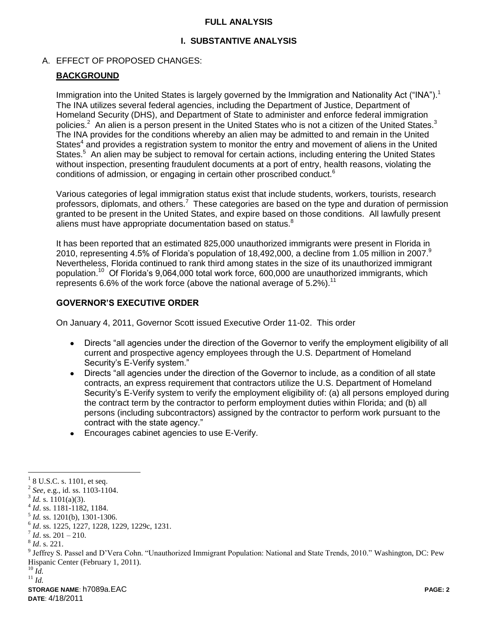#### **FULL ANALYSIS**

# **I. SUBSTANTIVE ANALYSIS**

### A. EFFECT OF PROPOSED CHANGES:

### **BACKGROUND**

Immigration into the United States is largely governed by the Immigration and Nationality Act ("INA").<sup>1</sup> The INA utilizes several federal agencies, including the Department of Justice, Department of Homeland Security (DHS), and Department of State to administer and enforce federal immigration policies.<sup>2</sup> An alien is a person present in the United States who is not a citizen of the United States.<sup>3</sup> The INA provides for the conditions whereby an alien may be admitted to and remain in the United States<sup>4</sup> and provides a registration system to monitor the entry and movement of aliens in the United States.<sup>5</sup> An alien may be subject to removal for certain actions, including entering the United States without inspection, presenting fraudulent documents at a port of entry, health reasons, violating the conditions of admission, or engaging in certain other proscribed conduct.<sup>6</sup>

Various categories of legal immigration status exist that include students, workers, tourists, research professors, diplomats, and others.<sup>7</sup> These categories are based on the type and duration of permission granted to be present in the United States, and expire based on those conditions. All lawfully present aliens must have appropriate documentation based on status. $8$ 

It has been reported that an estimated 825,000 unauthorized immigrants were present in Florida in 2010, representing 4.5% of Florida's population of 18,492,000, a decline from 1.05 million in 2007.<sup>9</sup> Nevertheless, Florida continued to rank third among states in the size of its unauthorized immigrant population.<sup>10</sup> Of Florida's 9,064,000 total work force, 600,000 are unauthorized immigrants, which represents 6.6% of the work force (above the national average of 5.2%).<sup>11</sup>

### **GOVERNOR'S EXECUTIVE ORDER**

On January 4, 2011, Governor Scott issued Executive Order 11-02. This order

- $\bullet$ Directs "all agencies under the direction of the Governor to verify the employment eligibility of all current and prospective agency employees through the U.S. Department of Homeland Security's E-Verify system."
- Directs "all agencies under the direction of the Governor to include, as a condition of all state contracts, an express requirement that contractors utilize the U.S. Department of Homeland Security's E-Verify system to verify the employment eligibility of: (a) all persons employed during the contract term by the contractor to perform employment duties within Florida; and (b) all persons (including subcontractors) assigned by the contractor to perform work pursuant to the contract with the state agency."
- Encourages cabinet agencies to use E-Verify.

<sup>1</sup> 8 U.S.C. s. 1101, et seq.

 $2^{2}$  *See*, e.g., id. ss. 1103-1104.

 $3^3$  *Id.* s. 1101(a)(3).

<sup>4</sup> *Id*. ss. 1181-1182, 1184.

<sup>5</sup> *Id.* ss. 1201(b), 1301-1306.

<sup>6</sup> *Id*. ss. 1225, 1227, 1228, 1229, 1229c, 1231.

 $^7$  *Id.* ss. 201 – 210.

<sup>8</sup> *Id*. s. 221.

<sup>&</sup>lt;sup>9</sup> Jeffrey S. Passel and D'Vera Cohn. "Unauthorized Immigrant Population: National and State Trends, 2010." Washington, DC: Pew Hispanic Center (February 1, 2011).

 $^{10}$  *Id.* 

<sup>11</sup> *Id.*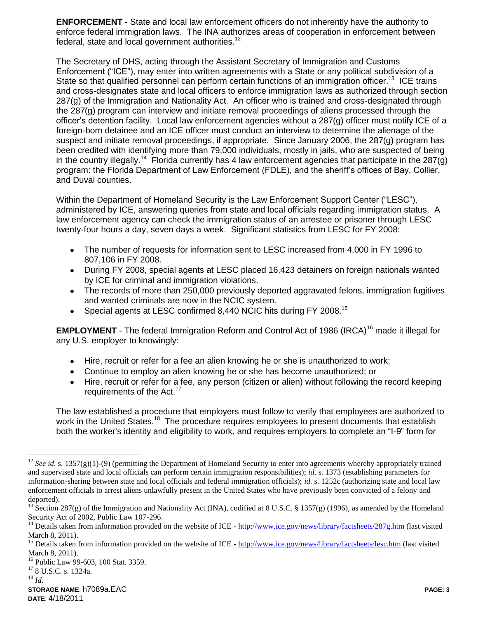**ENFORCEMENT** - State and local law enforcement officers do not inherently have the authority to enforce federal immigration laws. The INA authorizes areas of cooperation in enforcement between federal, state and local government authorities.<sup>12</sup>

The Secretary of DHS, acting through the Assistant Secretary of Immigration and Customs Enforcement ("ICE"), may enter into written agreements with a State or any political subdivision of a State so that qualified personnel can perform certain functions of an immigration officer.<sup>13</sup> ICE trains and cross-designates state and local officers to enforce immigration laws as authorized through section 287(g) of the Immigration and Nationality Act. An officer who is trained and cross-designated through the 287(g) program can interview and initiate removal proceedings of aliens processed through the officer's detention facility. Local law enforcement agencies without a 287(g) officer must notify ICE of a foreign-born detainee and an ICE officer must conduct an interview to determine the alienage of the suspect and initiate removal proceedings, if appropriate. Since January 2006, the 287(g) program has been credited with identifying more than 79,000 individuals, mostly in jails, who are suspected of being in the country illegally.<sup>14</sup> Florida currently has 4 law enforcement agencies that participate in the 287(g) program: the Florida Department of Law Enforcement (FDLE), and the sheriff's offices of Bay, Collier, and Duval counties.

Within the Department of Homeland Security is the Law Enforcement Support Center ("LESC"), administered by ICE, answering queries from state and local officials regarding immigration status. A law enforcement agency can check the immigration status of an arrestee or prisoner through LESC twenty-four hours a day, seven days a week. Significant statistics from LESC for FY 2008:

- The number of requests for information sent to LESC increased from 4,000 in FY 1996 to  $\bullet$ 807,106 in FY 2008.
- During FY 2008, special agents at LESC placed 16,423 detainers on foreign nationals wanted by ICE for criminal and immigration violations.
- The records of more than 250,000 previously deported aggravated felons, immigration fugitives  $\bullet$ and wanted criminals are now in the NCIC system.
- Special agents at LESC confirmed 8,440 NCIC hits during FY 2008.<sup>15</sup>  $\bullet$

**EMPLOYMENT** - The federal Immigration Reform and Control Act of 1986 (IRCA)<sup>16</sup> made it illegal for any U.S. employer to knowingly:

- Hire, recruit or refer for a fee an alien knowing he or she is unauthorized to work;
- Continue to employ an alien knowing he or she has become unauthorized; or
- $\bullet$ Hire, recruit or refer for a fee, any person (citizen or alien) without following the record keeping requirements of the Act.<sup>17</sup>

The law established a procedure that employers must follow to verify that employees are authorized to work in the United States.<sup>18</sup> The procedure requires employees to present documents that establish both the worker's identity and eligibility to work, and requires employers to complete an "I-9" form for

<sup>17</sup> 8 U.S.C. s. 1324a.

<sup>18</sup> *Id.*

<sup>&</sup>lt;sup>12</sup> *See id.* s. 1357(g)(1)-(9) (permitting the Department of Homeland Security to enter into agreements whereby appropriately trained and supervised state and local officials can perform certain immigration responsibilities); *id*. s. 1373 (establishing parameters for information-sharing between state and local officials and federal immigration officials); *id.* s. 1252c (authorizing state and local law enforcement officials to arrest aliens unlawfully present in the United States who have previously been convicted of a felony and deported).

<sup>&</sup>lt;sup>13</sup> Section 287(g) of the Immigration and Nationality Act (INA), codified at 8 U.S.C. § 1357(g) (1996), as amended by the Homeland Security Act of 2002, Public Law 107-296.

Details taken from information provided on the website of ICE - <http://www.ice.gov/news/library/factsheets/287g.htm> (last visited March 8, 2011).

<sup>&</sup>lt;sup>15</sup> Details taken from information provided on the website of ICE - <http://www.ice.gov/news/library/factsheets/lesc.htm> (last visited March 8, 2011).

<sup>&</sup>lt;sup>16</sup> Public Law 99-603, 100 Stat. 3359.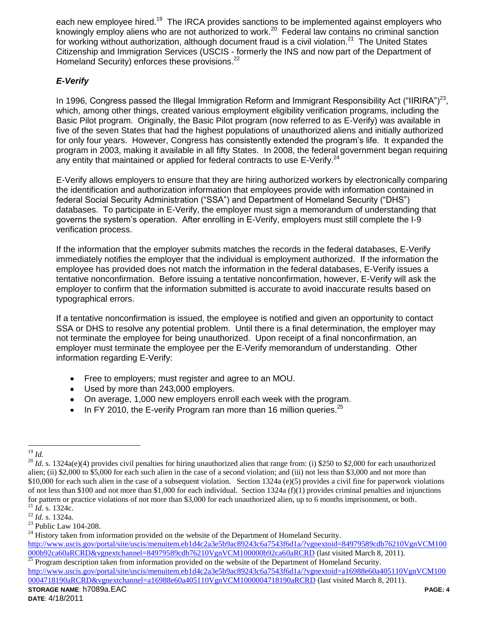each new employee hired.<sup>19</sup> The IRCA provides sanctions to be implemented against employers who knowingly employ aliens who are not authorized to work.<sup>20</sup> Federal law contains no criminal sanction for working without authorization, although document fraud is a civil violation.<sup>21</sup> The United States Citizenship and Immigration Services (USCIS - formerly the INS and now part of the Department of Homeland Security) enforces these provisions.<sup>22</sup>

# *E-Verify*

In 1996, Congress passed the Illegal Immigration Reform and Immigrant Responsibility Act ("IIRIRA")<sup>23</sup>, which, among other things, created various employment eligibility verification programs, including the Basic Pilot program. Originally, the Basic Pilot program (now referred to as E-Verify) was available in five of the seven States that had the highest populations of unauthorized aliens and initially authorized for only four years. However, Congress has consistently extended the program's life. It expanded the program in 2003, making it available in all fifty States. In 2008, the federal government began requiring any entity that maintained or applied for federal contracts to use E-Verify.<sup>24</sup>

E-Verify allows employers to ensure that they are hiring authorized workers by electronically comparing the identification and authorization information that employees provide with information contained in federal Social Security Administration ("SSA") and Department of Homeland Security ("DHS") databases. To participate in E-Verify, the employer must sign a memorandum of understanding that governs the system's operation. After enrolling in E-Verify, employers must still complete the I-9 verification process.

If the information that the employer submits matches the records in the federal databases, E-Verify immediately notifies the employer that the individual is employment authorized. If the information the employee has provided does not match the information in the federal databases, E-Verify issues a tentative nonconfirmation. Before issuing a tentative nonconfirmation, however, E-Verify will ask the employer to confirm that the information submitted is accurate to avoid inaccurate results based on typographical errors.

If a tentative nonconfirmation is issued, the employee is notified and given an opportunity to contact SSA or DHS to resolve any potential problem. Until there is a final determination, the employer may not terminate the employee for being unauthorized. Upon receipt of a final nonconfirmation, an employer must terminate the employee per the E-Verify memorandum of understanding. Other information regarding E-Verify:

- Free to employers; must register and agree to an MOU.
- Used by more than 243,000 employers.
- On average, 1,000 new employers enroll each week with the program.
- In FY 2010, the E-verify Program ran more than 16 million queries. $^{25}$

 $\overline{a}$ <sup>19</sup> *Id.*

 $^{20}$  *Id.* s. 1324a(e)(4) provides civil penalties for hiring unauthorized alien that range from: (i) \$250 to \$2,000 for each unauthorized alien; (ii) \$2,000 to \$5,000 for each such alien in the case of a second violation; and (iii) not less than \$3,000 and not more than \$10,000 for each such alien in the case of a subsequent violation. Section 1324a (e)(5) provides a civil fine for paperwork violations of not less than \$100 and not more than \$1,000 for each individual. Section 1324a (f)(1) provides criminal penalties and injunctions for pattern or practice violations of not more than \$3,000 for each unauthorized alien, up to 6 months imprisonment, or both. <sup>21</sup> *Id*. s. 1324c.

<sup>22</sup> *Id.* s. 1324a.

<sup>&</sup>lt;sup>23</sup> Public Law 104-208.

 $24$  History taken from information provided on the website of the Department of Homeland Security. [http://www.uscis.gov/portal/site/uscis/menuitem.eb1d4c2a3e5b9ac89243c6a7543f6d1a/?vgnextoid=84979589cdb76210VgnVCM100](http://www.uscis.gov/portal/site/uscis/menuitem.eb1d4c2a3e5b9ac89243c6a7543f6d1a/?vgnextoid=84979589cdb76210VgnVCM100000b92ca60aRCRD&vgnextchannel=84979589cdb76210VgnVCM100000b92ca60aRCRD) [000b92ca60aRCRD&vgnextchannel=84979589cdb76210VgnVCM100000b92ca60aRCRD](http://www.uscis.gov/portal/site/uscis/menuitem.eb1d4c2a3e5b9ac89243c6a7543f6d1a/?vgnextoid=84979589cdb76210VgnVCM100000b92ca60aRCRD&vgnextchannel=84979589cdb76210VgnVCM100000b92ca60aRCRD) (last visited March 8, 2011).

<sup>25</sup> Program description taken from information provided on the website of the Department of Homeland Security. [http://www.uscis.gov/portal/site/uscis/menuitem.eb1d4c2a3e5b9ac89243c6a7543f6d1a/?vgnextoid=a16988e60a405110VgnVCM100](http://www.uscis.gov/portal/site/uscis/menuitem.eb1d4c2a3e5b9ac89243c6a7543f6d1a/?vgnextoid=a16988e60a405110VgnVCM1000004718190aRCRD&vgnextchannel=a16988e60a405110VgnVCM1000004718190aRCRD) [0004718190aRCRD&vgnextchannel=a16988e60a405110VgnVCM1000004718190aRCRD](http://www.uscis.gov/portal/site/uscis/menuitem.eb1d4c2a3e5b9ac89243c6a7543f6d1a/?vgnextoid=a16988e60a405110VgnVCM1000004718190aRCRD&vgnextchannel=a16988e60a405110VgnVCM1000004718190aRCRD) (last visited March 8, 2011).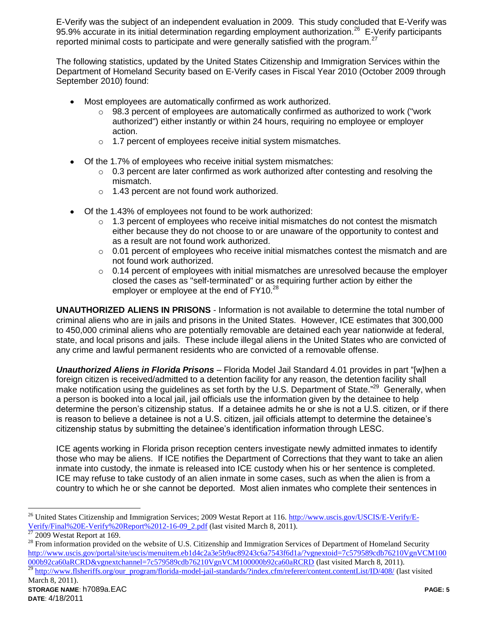E-Verify was the subject of an independent evaluation in 2009. This study concluded that E-Verify was 95.9% accurate in its initial determination regarding employment authorization.<sup>26</sup> E-Verify participants reported minimal costs to participate and were generally satisfied with the program. $^{27}$ 

The following statistics, updated by the United States Citizenship and Immigration Services within the Department of Homeland Security based on E-Verify cases in Fiscal Year 2010 (October 2009 through September 2010) found:

- Most employees are automatically confirmed as work authorized.
	- $\circ$  98.3 percent of employees are automatically confirmed as authorized to work ("work authorized") either instantly or within 24 hours, requiring no employee or employer action.
	- o 1.7 percent of employees receive initial system mismatches.
- Of the 1.7% of employees who receive initial system mismatches:
	- $\circ$  0.3 percent are later confirmed as work authorized after contesting and resolving the mismatch.
	- o 1.43 percent are not found work authorized.
- Of the 1.43% of employees not found to be work authorized:
	- $\circ$  1.3 percent of employees who receive initial mismatches do not contest the mismatch either because they do not choose to or are unaware of the opportunity to contest and as a result are not found work authorized.
	- $\circ$  0.01 percent of employees who receive initial mismatches contest the mismatch and are not found work authorized.
	- $\circ$  0.14 percent of employees with initial mismatches are unresolved because the employer closed the cases as "self-terminated" or as requiring further action by either the employer or employee at the end of  $FY10.<sup>28</sup>$

**UNAUTHORIZED ALIENS IN PRISONS** - Information is not available to determine the total number of criminal aliens who are in jails and prisons in the United States. However, ICE estimates that 300,000 to 450,000 criminal aliens who are potentially removable are detained each year nationwide at federal, state, and local prisons and jails. These include illegal aliens in the United States who are convicted of any crime and lawful permanent residents who are convicted of a removable offense.

*Unauthorized Aliens in Florida Prisons* – Florida Model Jail Standard 4.01 provides in part "[w]hen a foreign citizen is received/admitted to a detention facility for any reason, the detention facility shall make notification using the guidelines as set forth by the U.S. Department of State."<sup>29</sup> Generally, when a person is booked into a local jail, jail officials use the information given by the detainee to help determine the person's citizenship status. If a detainee admits he or she is not a U.S. citizen, or if there is reason to believe a detainee is not a U.S. citizen, jail officials attempt to determine the detainee's citizenship status by submitting the detainee's identification information through LESC.

ICE agents working in Florida prison reception centers investigate newly admitted inmates to identify those who may be aliens. If ICE notifies the Department of Corrections that they want to take an alien inmate into custody, the inmate is released into ICE custody when his or her sentence is completed. ICE may refuse to take custody of an alien inmate in some cases, such as when the alien is from a country to which he or she cannot be deported. Most alien inmates who complete their sentences in

<sup>&</sup>lt;sup>26</sup> United States Citizenship and Immigration Services; 2009 Westat Report at 116. [http://www.uscis.gov/USCIS/E-Verify/E-](http://www.uscis.gov/USCIS/E-Verify/E-Verify/Final%20E-Verify%20Report%2012-16-09_2.pdf)[Verify/Final%20E-Verify%20Report%2012-16-09\\_2.pdf](http://www.uscis.gov/USCIS/E-Verify/E-Verify/Final%20E-Verify%20Report%2012-16-09_2.pdf) (last visited March 8, 2011).<br> $\frac{27,0000 \text{ W} \cdot \text{stat}}{27,0000 \text{ W} \cdot \text{stat}}$ 

<sup>2009</sup> Westat Report at 169.

 $^{28}$  From information provided on the website of U.S. Citizenship and Immigration Services of Department of Homeland Security [http://www.uscis.gov/portal/site/uscis/menuitem.eb1d4c2a3e5b9ac89243c6a7543f6d1a/?vgnextoid=7c579589cdb76210VgnVCM100](http://www.uscis.gov/portal/site/uscis/menuitem.eb1d4c2a3e5b9ac89243c6a7543f6d1a/?vgnextoid=7c579589cdb76210VgnVCM100000b92ca60aRCRD&vgnextchannel=7c579589cdb76210VgnVCM100000b92ca60aRCRD) [000b92ca60aRCRD&vgnextchannel=7c579589cdb76210VgnVCM100000b92ca60aRCRD](http://www.uscis.gov/portal/site/uscis/menuitem.eb1d4c2a3e5b9ac89243c6a7543f6d1a/?vgnextoid=7c579589cdb76210VgnVCM100000b92ca60aRCRD&vgnextchannel=7c579589cdb76210VgnVCM100000b92ca60aRCRD) (last visited March 8, 2011).<br><sup>29</sup> http://www.fleberiffe.org/our\_program/florida\_model\_iail\_standarde/?index\_efm/raferer/content\_content\_ist/ID/408/ (l [http://www.flsheriffs.org/our\\_program/florida-model-jail-standards/?index.cfm/referer/content.contentList/ID/408/](http://www.flsheriffs.org/our_program/florida-model-jail-standards/?index.cfm/referer/content.contentList/ID/408/) (last visited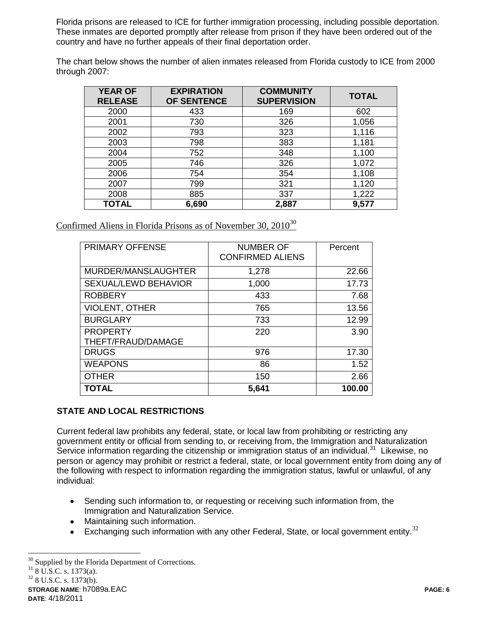Florida prisons are released to ICE for further immigration processing, including possible deportation. These inmates are deported promptly after release from prison if they have been ordered out of the country and have no further appeals of their final deportation order.

The chart below shows the number of alien inmates released from Florida custody to ICE from 2000 through 2007:

| <b>YEAR OF</b><br><b>RELEASE</b> | <b>EXPIRATION</b><br>OF SENTENCE | <b>COMMUNITY</b><br><b>SUPERVISION</b> | <b>TOTAL</b> |
|----------------------------------|----------------------------------|----------------------------------------|--------------|
| 2000                             | 433                              | 169                                    | 602          |
| 2001                             | 730                              | 326                                    | 1,056        |
| 2002                             | 793                              | 323                                    | 1,116        |
| 2003                             | 798                              | 383                                    | 1,181        |
| 2004                             | 752                              | 348                                    | 1,100        |
| 2005                             | 746                              | 326                                    | 1,072        |
| 2006                             | 754                              | 354                                    | 1,108        |
| 2007                             | 799                              | 321                                    | 1,120        |
| 2008                             | 885                              | 337                                    | 1,222        |
| <b>TOTAL</b>                     | 6,690                            | 2,887                                  | 9,577        |

Confirmed Aliens in Florida Prisons as of November 30,  $2010^{30}$ 

| <b>PRIMARY OFFENSE</b>                | <b>NUMBER OF</b><br><b>CONFIRMED ALIENS</b> | Percent |
|---------------------------------------|---------------------------------------------|---------|
| MURDER/MANSLAUGHTER                   | 1,278                                       | 22.66   |
| <b>SEXUAL/LEWD BEHAVIOR</b>           | 1,000                                       | 17.73   |
| <b>ROBBERY</b>                        | 433                                         | 7.68    |
| <b>VIOLENT, OTHER</b>                 | 765                                         | 13.56   |
| <b>BURGLARY</b>                       | 733                                         | 12.99   |
| <b>PROPERTY</b><br>THEFT/FRAUD/DAMAGE | 220                                         | 3.90    |
| <b>DRUGS</b>                          | 976                                         | 17.30   |
| <b>WEAPONS</b>                        | 86                                          | 1.52    |
| <b>OTHER</b>                          | 150                                         | 2.66    |
| <b>TOTAL</b>                          | 5,641                                       | 100.00  |

# **STATE AND LOCAL RESTRICTIONS**

Current federal law prohibits any federal, state, or local law from prohibiting or restricting any government entity or official from sending to, or receiving from, the Immigration and Naturalization Service information regarding the citizenship or immigration status of an individual.<sup>31</sup> Likewise, no person or agency may prohibit or restrict a federal, state, or local government entity from doing any of the following with respect to information regarding the immigration status, lawful or unlawful, of any individual:

- $\bullet$ Sending such information to, or requesting or receiving such information from, the Immigration and Naturalization Service.
- Maintaining such information.
- Exchanging such information with any other Federal, State, or local government entity. $32$  $\bullet$

 $318$  U.S.C. s. 1373(a).

<sup>32</sup> 8 U.S.C. s. 1373(b).

 $\overline{a}$  $30$  Supplied by the Florida Department of Corrections.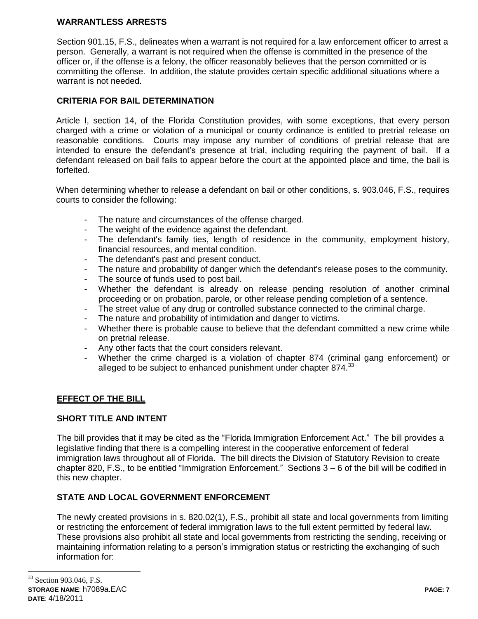## **WARRANTLESS ARRESTS**

Section 901.15, F.S., delineates when a warrant is not required for a law enforcement officer to arrest a person. Generally, a warrant is not required when the offense is committed in the presence of the officer or, if the offense is a felony, the officer reasonably believes that the person committed or is committing the offense. In addition, the statute provides certain specific additional situations where a warrant is not needed.

# **CRITERIA FOR BAIL DETERMINATION**

Article I, section 14, of the Florida Constitution provides, with some exceptions, that every person charged with a crime or violation of a municipal or county ordinance is entitled to pretrial release on reasonable conditions. Courts may impose any number of conditions of pretrial release that are intended to ensure the defendant's presence at trial, including requiring the payment of bail. If a defendant released on bail fails to appear before the court at the appointed place and time, the bail is forfeited.

When determining whether to release a defendant on bail or other conditions, s. 903.046, F.S., requires courts to consider the following:

- The nature and circumstances of the offense charged.
- The weight of the evidence against the defendant.
- The defendant's family ties, length of residence in the community, employment history, financial resources, and mental condition.
- The defendant's past and present conduct.
- The nature and probability of danger which the defendant's release poses to the community.
- The source of funds used to post bail.
- Whether the defendant is already on release pending resolution of another criminal proceeding or on probation, parole, or other release pending completion of a sentence.
- The street value of any drug or controlled substance connected to the criminal charge.
- The nature and probability of intimidation and danger to victims.
- Whether there is probable cause to believe that the defendant committed a new crime while on pretrial release.
- Any other facts that the court considers relevant.
- Whether the crime charged is a violation of chapter 874 (criminal gang enforcement) or alleged to be subject to enhanced punishment under chapter  $874.<sup>33</sup>$

### **EFFECT OF THE BILL**

### **SHORT TITLE AND INTENT**

The bill provides that it may be cited as the "Florida Immigration Enforcement Act." The bill provides a legislative finding that there is a compelling interest in the cooperative enforcement of federal immigration laws throughout all of Florida. The bill directs the Division of Statutory Revision to create chapter 820, F.S., to be entitled "Immigration Enforcement." Sections 3 – 6 of the bill will be codified in this new chapter.

### **STATE AND LOCAL GOVERNMENT ENFORCEMENT**

The newly created provisions in s. 820.02(1), F.S., prohibit all state and local governments from limiting or restricting the enforcement of federal immigration laws to the full extent permitted by federal law. These provisions also prohibit all state and local governments from restricting the sending, receiving or maintaining information relating to a person's immigration status or restricting the exchanging of such information for: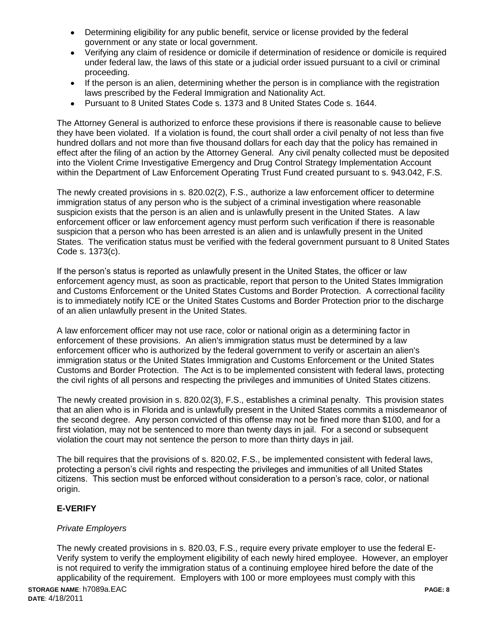- Determining eligibility for any public benefit, service or license provided by the federal government or any state or local government.
- Verifying any claim of residence or domicile if determination of residence or domicile is required under federal law, the laws of this state or a judicial order issued pursuant to a civil or criminal proceeding.
- If the person is an alien, determining whether the person is in compliance with the registration laws prescribed by the Federal Immigration and Nationality Act.
- Pursuant to 8 United States Code s. 1373 and 8 United States Code s. 1644.  $\bullet$

The Attorney General is authorized to enforce these provisions if there is reasonable cause to believe they have been violated. If a violation is found, the court shall order a civil penalty of not less than five hundred dollars and not more than five thousand dollars for each day that the policy has remained in effect after the filing of an action by the Attorney General. Any civil penalty collected must be deposited into the Violent Crime Investigative Emergency and Drug Control Strategy Implementation Account within the Department of Law Enforcement Operating Trust Fund created pursuant to s. 943.042, F.S.

The newly created provisions in s. 820.02(2), F.S., authorize a law enforcement officer to determine immigration status of any person who is the subject of a criminal investigation where reasonable suspicion exists that the person is an alien and is unlawfully present in the United States. A law enforcement officer or law enforcement agency must perform such verification if there is reasonable suspicion that a person who has been arrested is an alien and is unlawfully present in the United States. The verification status must be verified with the federal government pursuant to 8 United States Code s. 1373(c).

If the person's status is reported as unlawfully present in the United States, the officer or law enforcement agency must, as soon as practicable, report that person to the United States Immigration and Customs Enforcement or the United States Customs and Border Protection. A correctional facility is to immediately notify ICE or the United States Customs and Border Protection prior to the discharge of an alien unlawfully present in the United States.

A law enforcement officer may not use race, color or national origin as a determining factor in enforcement of these provisions. An alien's immigration status must be determined by a law enforcement officer who is authorized by the federal government to verify or ascertain an alien's immigration status or the United States Immigration and Customs Enforcement or the United States Customs and Border Protection. The Act is to be implemented consistent with federal laws, protecting the civil rights of all persons and respecting the privileges and immunities of United States citizens.

The newly created provision in s. 820.02(3), F.S., establishes a criminal penalty. This provision states that an alien who is in Florida and is unlawfully present in the United States commits a misdemeanor of the second degree. Any person convicted of this offense may not be fined more than \$100, and for a first violation, may not be sentenced to more than twenty days in jail. For a second or subsequent violation the court may not sentence the person to more than thirty days in jail.

The bill requires that the provisions of s. 820.02, F.S., be implemented consistent with federal laws, protecting a person's civil rights and respecting the privileges and immunities of all United States citizens. This section must be enforced without consideration to a person's race, color, or national origin.

# **E-VERIFY**

# *Private Employers*

The newly created provisions in s. 820.03, F.S., require every private employer to use the federal E-Verify system to verify the employment eligibility of each newly hired employee. However, an employer is not required to verify the immigration status of a continuing employee hired before the date of the applicability of the requirement. Employers with 100 or more employees must comply with this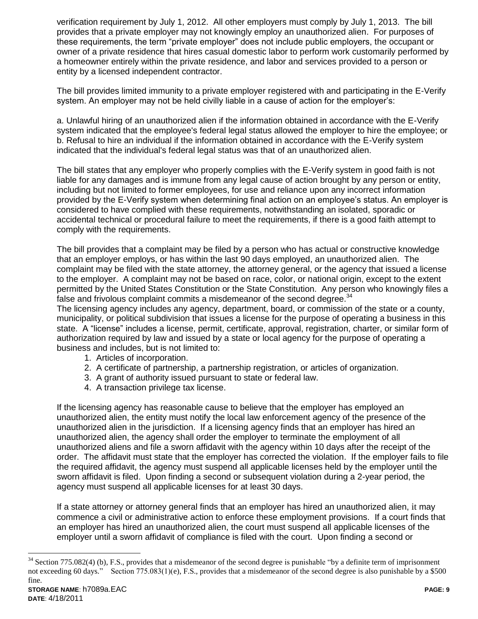verification requirement by July 1, 2012. All other employers must comply by July 1, 2013. The bill provides that a private employer may not knowingly employ an unauthorized alien. For purposes of these requirements, the term "private employer" does not include public employers, the occupant or owner of a private residence that hires casual domestic labor to perform work customarily performed by a homeowner entirely within the private residence, and labor and services provided to a person or entity by a licensed independent contractor.

The bill provides limited immunity to a private employer registered with and participating in the E-Verify system. An employer may not be held civilly liable in a cause of action for the employer's:

a. Unlawful hiring of an unauthorized alien if the information obtained in accordance with the E-Verify system indicated that the employee's federal legal status allowed the employer to hire the employee; or b. Refusal to hire an individual if the information obtained in accordance with the E-Verify system indicated that the individual's federal legal status was that of an unauthorized alien.

The bill states that any employer who properly complies with the E-Verify system in good faith is not liable for any damages and is immune from any legal cause of action brought by any person or entity, including but not limited to former employees, for use and reliance upon any incorrect information provided by the E-Verify system when determining final action on an employee's status. An employer is considered to have complied with these requirements, notwithstanding an isolated, sporadic or accidental technical or procedural failure to meet the requirements, if there is a good faith attempt to comply with the requirements.

The bill provides that a complaint may be filed by a person who has actual or constructive knowledge that an employer employs, or has within the last 90 days employed, an unauthorized alien. The complaint may be filed with the state attorney, the attorney general, or the agency that issued a license to the employer. A complaint may not be based on race, color, or national origin, except to the extent permitted by the United States Constitution or the State Constitution. Any person who knowingly files a false and frivolous complaint commits a misdemeanor of the second degree. $34$ 

The licensing agency includes any agency, department, board, or commission of the state or a county, municipality, or political subdivision that issues a license for the purpose of operating a business in this state. A "license" includes a license, permit, certificate, approval, registration, charter, or similar form of authorization required by law and issued by a state or local agency for the purpose of operating a business and includes, but is not limited to:

- 1. Articles of incorporation.
- 2. A certificate of partnership, a partnership registration, or articles of organization.
- 3. A grant of authority issued pursuant to state or federal law.
- 4. A transaction privilege tax license.

If the licensing agency has reasonable cause to believe that the employer has employed an unauthorized alien, the entity must notify the local law enforcement agency of the presence of the unauthorized alien in the jurisdiction. If a licensing agency finds that an employer has hired an unauthorized alien, the agency shall order the employer to terminate the employment of all unauthorized aliens and file a sworn affidavit with the agency within 10 days after the receipt of the order. The affidavit must state that the employer has corrected the violation. If the employer fails to file the required affidavit, the agency must suspend all applicable licenses held by the employer until the sworn affidavit is filed. Upon finding a second or subsequent violation during a 2-year period, the agency must suspend all applicable licenses for at least 30 days.

If a state attorney or attorney general finds that an employer has hired an unauthorized alien, it may commence a civil or administrative action to enforce these employment provisions. If a court finds that an employer has hired an unauthorized alien, the court must suspend all applicable licenses of the employer until a sworn affidavit of compliance is filed with the court. Upon finding a second or

 $34$  Section 775.082(4) (b), F.S., provides that a misdemeanor of the second degree is punishable "by a definite term of imprisonment" not exceeding 60 days." Section 775.083(1)(e), F.S., provides that a misdemeanor of the second degree is also punishable by a \$500 fine.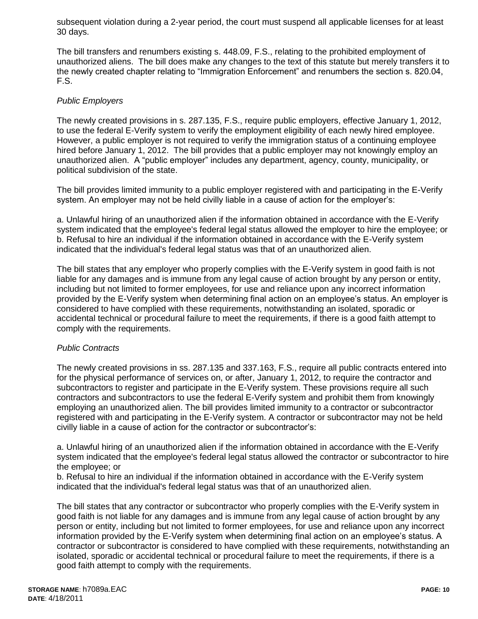subsequent violation during a 2-year period, the court must suspend all applicable licenses for at least 30 days.

The bill transfers and renumbers existing s. 448.09, F.S., relating to the prohibited employment of unauthorized aliens. The bill does make any changes to the text of this statute but merely transfers it to the newly created chapter relating to "Immigration Enforcement" and renumbers the section s. 820.04, F.S.

# *Public Employers*

The newly created provisions in s. 287.135, F.S., require public employers, effective January 1, 2012, to use the federal E-Verify system to verify the employment eligibility of each newly hired employee. However, a public employer is not required to verify the immigration status of a continuing employee hired before January 1, 2012. The bill provides that a public employer may not knowingly employ an unauthorized alien. A "public employer" includes any department, agency, county, municipality, or political subdivision of the state.

The bill provides limited immunity to a public employer registered with and participating in the E-Verify system. An employer may not be held civilly liable in a cause of action for the employer's:

a. Unlawful hiring of an unauthorized alien if the information obtained in accordance with the E-Verify system indicated that the employee's federal legal status allowed the employer to hire the employee; or b. Refusal to hire an individual if the information obtained in accordance with the E-Verify system indicated that the individual's federal legal status was that of an unauthorized alien.

The bill states that any employer who properly complies with the E-Verify system in good faith is not liable for any damages and is immune from any legal cause of action brought by any person or entity, including but not limited to former employees, for use and reliance upon any incorrect information provided by the E-Verify system when determining final action on an employee's status. An employer is considered to have complied with these requirements, notwithstanding an isolated, sporadic or accidental technical or procedural failure to meet the requirements, if there is a good faith attempt to comply with the requirements.

### *Public Contracts*

The newly created provisions in ss. 287.135 and 337.163, F.S., require all public contracts entered into for the physical performance of services on, or after, January 1, 2012, to require the contractor and subcontractors to register and participate in the E-Verify system. These provisions require all such contractors and subcontractors to use the federal E-Verify system and prohibit them from knowingly employing an unauthorized alien. The bill provides limited immunity to a contractor or subcontractor registered with and participating in the E-Verify system. A contractor or subcontractor may not be held civilly liable in a cause of action for the contractor or subcontractor's:

a. Unlawful hiring of an unauthorized alien if the information obtained in accordance with the E-Verify system indicated that the employee's federal legal status allowed the contractor or subcontractor to hire the employee; or

b. Refusal to hire an individual if the information obtained in accordance with the E-Verify system indicated that the individual's federal legal status was that of an unauthorized alien.

The bill states that any contractor or subcontractor who properly complies with the E-Verify system in good faith is not liable for any damages and is immune from any legal cause of action brought by any person or entity, including but not limited to former employees, for use and reliance upon any incorrect information provided by the E-Verify system when determining final action on an employee's status. A contractor or subcontractor is considered to have complied with these requirements, notwithstanding an isolated, sporadic or accidental technical or procedural failure to meet the requirements, if there is a good faith attempt to comply with the requirements.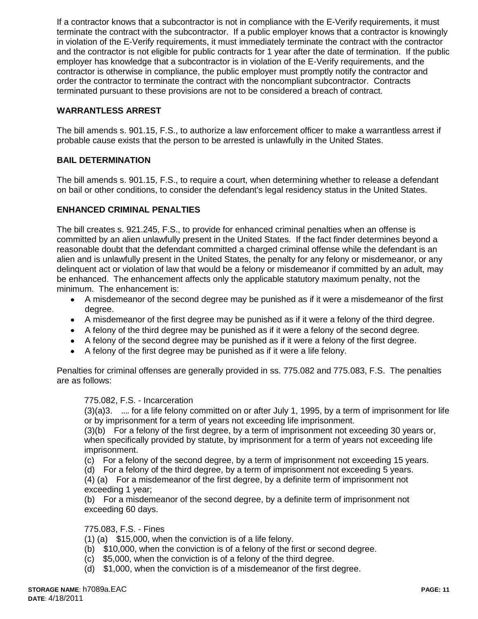If a contractor knows that a subcontractor is not in compliance with the E-Verify requirements, it must terminate the contract with the subcontractor. If a public employer knows that a contractor is knowingly in violation of the E-Verify requirements, it must immediately terminate the contract with the contractor and the contractor is not eligible for public contracts for 1 year after the date of termination. If the public employer has knowledge that a subcontractor is in violation of the E-Verify requirements, and the contractor is otherwise in compliance, the public employer must promptly notify the contractor and order the contractor to terminate the contract with the noncompliant subcontractor. Contracts terminated pursuant to these provisions are not to be considered a breach of contract.

# **WARRANTLESS ARREST**

The bill amends s. 901.15, F.S., to authorize a law enforcement officer to make a warrantless arrest if probable cause exists that the person to be arrested is unlawfully in the United States.

### **BAIL DETERMINATION**

The bill amends s. 901.15, F.S., to require a court, when determining whether to release a defendant on bail or other conditions, to consider the defendant's legal residency status in the United States.

#### **ENHANCED CRIMINAL PENALTIES**

The bill creates s. 921.245, F.S., to provide for enhanced criminal penalties when an offense is committed by an alien unlawfully present in the United States. If the fact finder determines beyond a reasonable doubt that the defendant committed a charged criminal offense while the defendant is an alien and is unlawfully present in the United States, the penalty for any felony or misdemeanor, or any delinquent act or violation of law that would be a felony or misdemeanor if committed by an adult, may be enhanced. The enhancement affects only the applicable statutory maximum penalty, not the minimum. The enhancement is:

- A misdemeanor of the second degree may be punished as if it were a misdemeanor of the first degree.
- A misdemeanor of the first degree may be punished as if it were a felony of the third degree.
- A felony of the third degree may be punished as if it were a felony of the second degree.
- A felony of the second degree may be punished as if it were a felony of the first degree.
- A felony of the first degree may be punished as if it were a life felony.

Penalties for criminal offenses are generally provided in ss. 775.082 and 775.083, F.S. The penalties are as follows:

#### 775.082, F.S. - Incarceration

(3)(a)3. …. for a life felony committed on or after July 1, 1995, by a term of imprisonment for life or by imprisonment for a term of years not exceeding life imprisonment.

(3)(b) For a felony of the first degree, by a term of imprisonment not exceeding 30 years or, when specifically provided by statute, by imprisonment for a term of years not exceeding life imprisonment.

(c) For a felony of the second degree, by a term of imprisonment not exceeding 15 years.

(d) For a felony of the third degree, by a term of imprisonment not exceeding 5 years. (4) (a) For a misdemeanor of the first degree, by a definite term of imprisonment not exceeding 1 year;

(b) For a misdemeanor of the second degree, by a definite term of imprisonment not exceeding 60 days.

#### 775.083, F.S. - Fines

(1) (a) \$15,000, when the conviction is of a life felony.

- (b) \$10,000, when the conviction is of a felony of the first or second degree.
- (c) \$5,000, when the conviction is of a felony of the third degree.
- (d) \$1,000, when the conviction is of a misdemeanor of the first degree.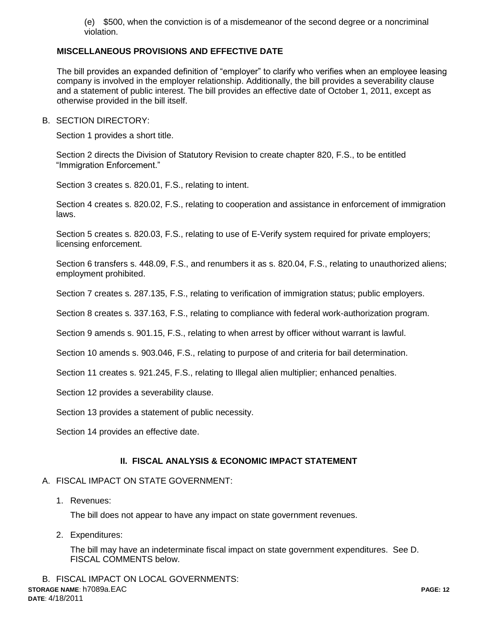(e) \$500, when the conviction is of a misdemeanor of the second degree or a noncriminal violation.

## **MISCELLANEOUS PROVISIONS AND EFFECTIVE DATE**

The bill provides an expanded definition of "employer" to clarify who verifies when an employee leasing company is involved in the employer relationship. Additionally, the bill provides a severability clause and a statement of public interest. The bill provides an effective date of October 1, 2011, except as otherwise provided in the bill itself.

B. SECTION DIRECTORY:

Section 1 provides a short title.

Section 2 directs the Division of Statutory Revision to create chapter 820, F.S., to be entitled "Immigration Enforcement."

Section 3 creates s. 820.01, F.S., relating to intent.

Section 4 creates s. 820.02, F.S., relating to cooperation and assistance in enforcement of immigration laws.

Section 5 creates s. 820.03, F.S., relating to use of E-Verify system required for private employers; licensing enforcement.

Section 6 transfers s. 448.09, F.S., and renumbers it as s. 820.04, F.S., relating to unauthorized aliens; employment prohibited.

Section 7 creates s. 287.135, F.S., relating to verification of immigration status; public employers.

Section 8 creates s. 337.163, F.S., relating to compliance with federal work-authorization program.

Section 9 amends s. 901.15, F.S., relating to when arrest by officer without warrant is lawful.

Section 10 amends s. 903.046, F.S., relating to purpose of and criteria for bail determination.

Section 11 creates s. 921.245, F.S., relating to Illegal alien multiplier; enhanced penalties.

Section 12 provides a severability clause.

Section 13 provides a statement of public necessity.

Section 14 provides an effective date.

### **II. FISCAL ANALYSIS & ECONOMIC IMPACT STATEMENT**

#### A. FISCAL IMPACT ON STATE GOVERNMENT:

1. Revenues:

The bill does not appear to have any impact on state government revenues.

2. Expenditures:

The bill may have an indeterminate fiscal impact on state government expenditures. See D. FISCAL COMMENTS below.

**STORAGE NAME**: h7089a.EAC **PAGE: 12 DATE**: 4/18/2011 B. FISCAL IMPACT ON LOCAL GOVERNMENTS: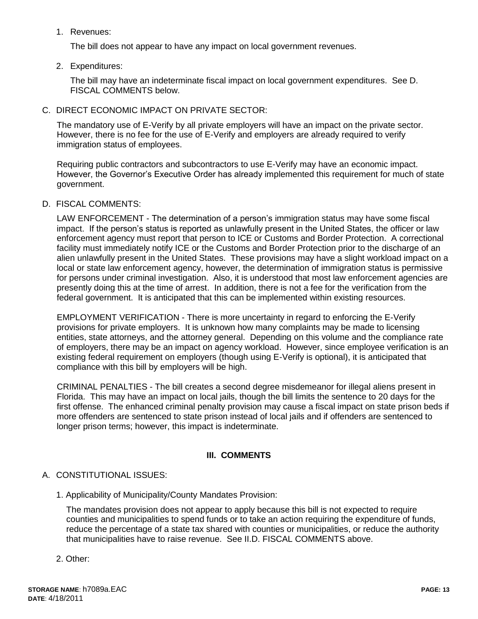1. Revenues:

The bill does not appear to have any impact on local government revenues.

2. Expenditures:

The bill may have an indeterminate fiscal impact on local government expenditures. See D. FISCAL COMMENTS below.

C. DIRECT ECONOMIC IMPACT ON PRIVATE SECTOR:

The mandatory use of E-Verify by all private employers will have an impact on the private sector. However, there is no fee for the use of E-Verify and employers are already required to verify immigration status of employees.

Requiring public contractors and subcontractors to use E-Verify may have an economic impact. However, the Governor's Executive Order has already implemented this requirement for much of state government.

D. FISCAL COMMENTS:

LAW ENFORCEMENT - The determination of a person's immigration status may have some fiscal impact. If the person's status is reported as unlawfully present in the United States, the officer or law enforcement agency must report that person to ICE or Customs and Border Protection. A correctional facility must immediately notify ICE or the Customs and Border Protection prior to the discharge of an alien unlawfully present in the United States. These provisions may have a slight workload impact on a local or state law enforcement agency, however, the determination of immigration status is permissive for persons under criminal investigation. Also, it is understood that most law enforcement agencies are presently doing this at the time of arrest. In addition, there is not a fee for the verification from the federal government. It is anticipated that this can be implemented within existing resources.

EMPLOYMENT VERIFICATION - There is more uncertainty in regard to enforcing the E-Verify provisions for private employers. It is unknown how many complaints may be made to licensing entities, state attorneys, and the attorney general. Depending on this volume and the compliance rate of employers, there may be an impact on agency workload. However, since employee verification is an existing federal requirement on employers (though using E-Verify is optional), it is anticipated that compliance with this bill by employers will be high.

CRIMINAL PENALTIES - The bill creates a second degree misdemeanor for illegal aliens present in Florida. This may have an impact on local jails, though the bill limits the sentence to 20 days for the first offense. The enhanced criminal penalty provision may cause a fiscal impact on state prison beds if more offenders are sentenced to state prison instead of local jails and if offenders are sentenced to longer prison terms; however, this impact is indeterminate.

# **III. COMMENTS**

# A. CONSTITUTIONAL ISSUES:

1. Applicability of Municipality/County Mandates Provision:

The mandates provision does not appear to apply because this bill is not expected to require counties and municipalities to spend funds or to take an action requiring the expenditure of funds, reduce the percentage of a state tax shared with counties or municipalities, or reduce the authority that municipalities have to raise revenue. See II.D. FISCAL COMMENTS above.

2. Other: